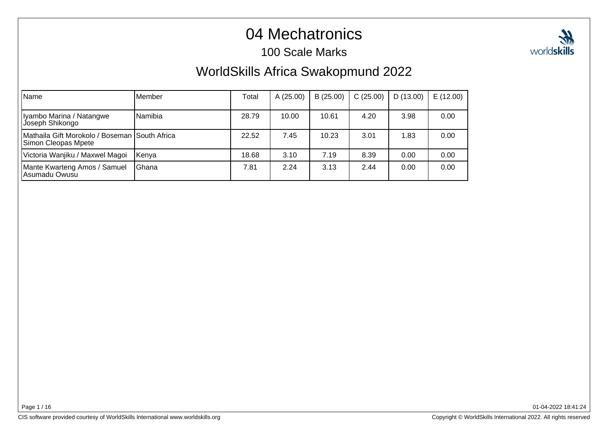## 04 Mechatronics

#### 100 Scale Marks



| Name                                                                  | lMember      | Total | A (25.00) | B(25.00) | C(25.00) | D(13.00) | E(12.00) |
|-----------------------------------------------------------------------|--------------|-------|-----------|----------|----------|----------|----------|
| Iyambo Marina / Natangwe<br>Joseph Shikongo                           | Namibia      | 28.79 | 10.00     | 10.61    | 4.20     | 3.98     | 0.00     |
| Mathaila Gift Morokolo / Boseman  South Africa<br>Simon Cleopas Mpete |              | 22.52 | 7.45      | 10.23    | 3.01     | 1.83     | 0.00     |
| Victoria Wanjiku / Maxwel Magoi                                       | Kenya        | 18.68 | 3.10      | 7.19     | 8.39     | 0.00     | 0.00     |
| Mante Kwarteng Amos / Samuel<br>Asumadu Owusu                         | <b>Ghana</b> | 7.81  | 2.24      | 3.13     | 2.44     | 0.00     | 0.00     |

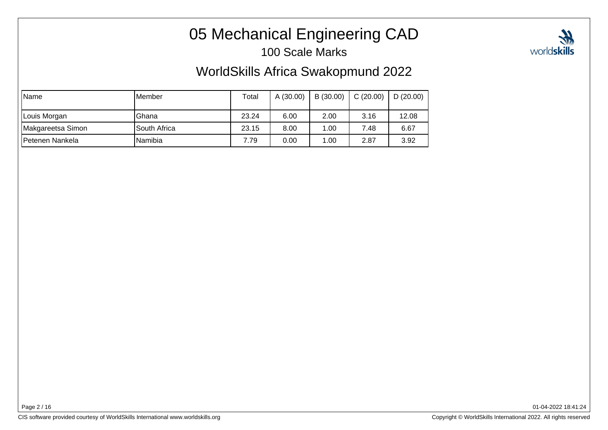# 05 Mechanical Engineering CAD

100 Scale Marks

### WorldSkills Africa Swakopmund 2022

| <b>Name</b>       | IMember      | Total | A (30.00) | B (30.00) | C(20.00) | $\vert$ D (20.00) |
|-------------------|--------------|-------|-----------|-----------|----------|-------------------|
| Louis Morgan      | Ghana        | 23.24 | 6.00      | 2.00      | 3.16     | 12.08             |
| Makgareetsa Simon | South Africa | 23.15 | 8.00      | 1.00      | 7.48     | 6.67              |
| Petenen Nankela   | lNamibia     | 7.79  | 0.00      | 1.00      | 2.87     | 3.92              |

Page 2 / 16

CIS software provided courtesy of WorldSkills International www.worldskills.org

Copyright © WorldSkills International 2022. All rights reserved

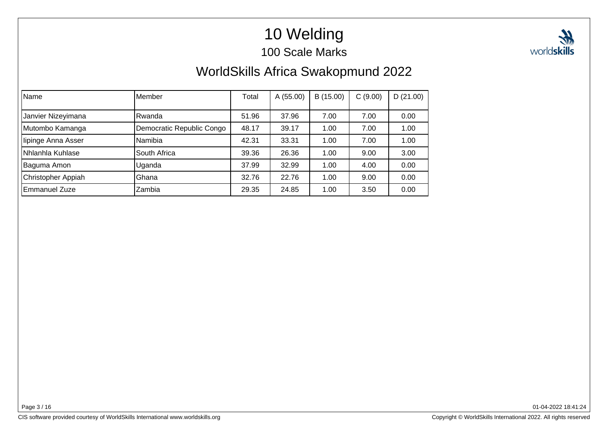# 10 Welding

100 Scale Marks

## WorldSkills Africa Swakopmund 2022

| Name               | Member                    | Total | A (55.00) | B (15.00) | C(9.00) | D(21.00) |
|--------------------|---------------------------|-------|-----------|-----------|---------|----------|
|                    |                           |       |           |           |         |          |
| Janvier Nizeyimana | lRwanda                   | 51.96 | 37.96     | 7.00      | 7.00    | 0.00     |
| Mutombo Kamanga    | Democratic Republic Congo | 48.17 | 39.17     | 1.00      | 7.00    | 1.00     |
| lipinge Anna Asser | Namibia                   | 42.31 | 33.31     | 1.00      | 7.00    | 1.00     |
| Nhlanhla Kuhlase   | South Africa              | 39.36 | 26.36     | 1.00      | 9.00    | 3.00     |
| Baguma Amon        | Uganda                    | 37.99 | 32.99     | 1.00      | 4.00    | 0.00     |
| Christopher Appiah | Ghana                     | 32.76 | 22.76     | 1.00      | 9.00    | 0.00     |
| Emmanuel Zuze      | Zambia                    | 29.35 | 24.85     | 1.00      | 3.50    | 0.00     |

Page 3 / 16

01-04-2022 18:41:24

CIS software provided courtesy of WorldSkills International www.worldskills.org

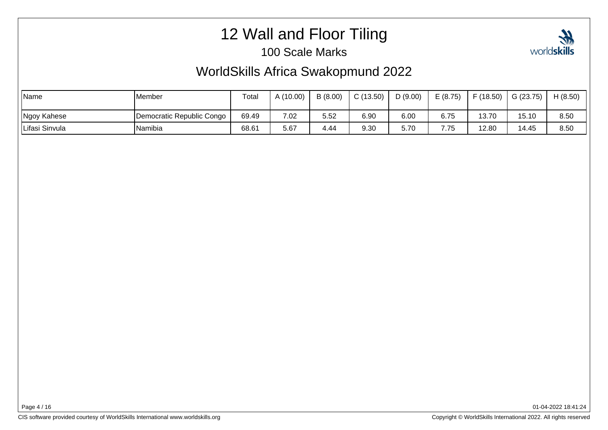# 12 Wall and Floor Tiling

#### 100 Scale Marks



| Name           | Member                    | Total | A (10.00) | B(8.00) | C(13.50) | D(9.00) | E(8.75)        | F(18.50) | G(23.75) | H(8.50) |
|----------------|---------------------------|-------|-----------|---------|----------|---------|----------------|----------|----------|---------|
| Ngoy Kahese    | Democratic Republic Congo | 69.49 | 7.02      | 5.52    | 6.90     | 6.00    | 6.75           | 13.70    | 15.10    | 8.50    |
| Lifasi Sinvula | Namibia                   | 68.61 | 5.67      | 4.44    | 9.30     | 5.70    | 775<br>، ، ، ، | 12.80    | 14.45    | 8.50    |

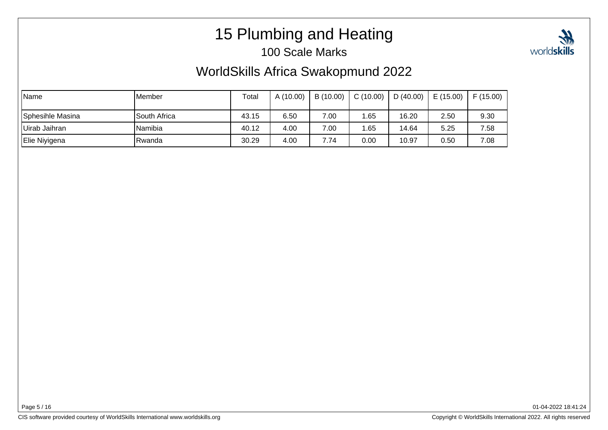# 15 Plumbing and Heating

#### 100 Scale Marks

## WorldSkills Africa Swakopmund 2022

| Name             | <b>I</b> Member | Total | A (10.00) | B (10.00) | C(10.00) | D $(40.00)$ | E(15.00) | F(15.00) |
|------------------|-----------------|-------|-----------|-----------|----------|-------------|----------|----------|
| Sphesihle Masina | South Africa    | 43.15 | 6.50      | 7.00      | .65      | 16.20       | 2.50     | 9.30     |
| Uirab Jaihran    | Namibia         | 40.12 | 4.00      | 7.00      | .65      | 14.64       | 5.25     | 7.58     |
| Elie Niyigena    | Rwanda          | 30.29 | 4.00      | 7.74      | 0.00     | 10.97       | 0.50     | 7.08     |

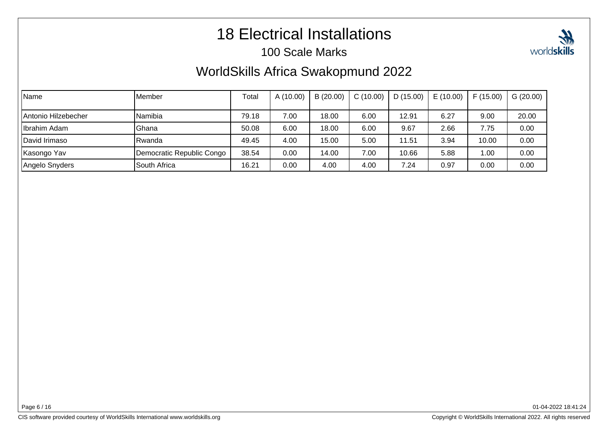## 18 Electrical Installations

#### 100 Scale Marks

### WorldSkills Africa Swakopmund 2022

| <b>Name</b>         | Member                    | Total | A(10.00) | B(20.00) | C(10.00) | D(15.00) | E(10.00) | F(15.00) | G(20.00) |
|---------------------|---------------------------|-------|----------|----------|----------|----------|----------|----------|----------|
| Antonio Hilzebecher | Namibia                   | 79.18 | 7.00     | 18.00    | 6.00     | 12.91    | 6.27     | 9.00     | 20.00    |
| Ibrahim Adam        | Ghana                     | 50.08 | 6.00     | 18.00    | 6.00     | 9.67     | 2.66     | 7.75     | 0.00     |
| David Irimaso       | Rwanda                    | 49.45 | 4.00     | 15.00    | 5.00     | 11.51    | 3.94     | 10.00    | 0.00     |
| Kasongo Yav         | Democratic Republic Congo | 38.54 | 0.00     | 14.00    | 7.00     | 10.66    | 5.88     | 1.00     | 0.00     |
| Angelo Snyders      | South Africa              | 16.21 | 0.00     | 4.00     | 4.00     | 7.24     | 0.97     | 0.00     | 0.00     |

Page 6 / 16

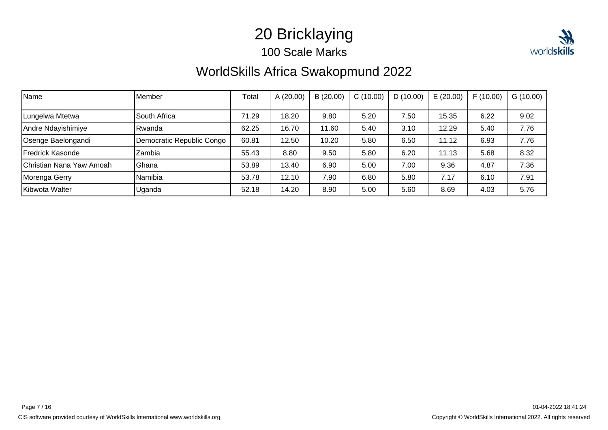# 20 Bricklaying

#### 100 Scale Marks



## WorldSkills Africa Swakopmund 2022

| <b>Name</b>              | Member                    | Total | A(20.00) | B(20.00) | C(10.00) | D(10.00) | E(20.00) | F(10.00) | G(10.00) |
|--------------------------|---------------------------|-------|----------|----------|----------|----------|----------|----------|----------|
|                          |                           |       |          |          |          |          |          |          |          |
| Lungelwa Mtetwa          | South Africa              | 71.29 | 18.20    | 9.80     | 5.20     | 7.50     | 15.35    | 6.22     | 9.02     |
| Andre Ndayishimiye       | Rwanda                    | 62.25 | 16.70    | 11.60    | 5.40     | 3.10     | 12.29    | 5.40     | 7.76     |
| Osenge Baelongandi       | Democratic Republic Congo | 60.81 | 12.50    | 10.20    | 5.80     | 6.50     | 11.12    | 6.93     | 7.76     |
| Fredrick Kasonde         | Zambia                    | 55.43 | 8.80     | 9.50     | 5.80     | 6.20     | 11.13    | 5.68     | 8.32     |
| Christian Nana Yaw Amoah | Ghana                     | 53.89 | 13.40    | 6.90     | 5.00     | 7.00     | 9.36     | 4.87     | 7.36     |
| Morenga Gerry            | Namibia                   | 53.78 | 12.10    | 7.90     | 6.80     | 5.80     | 7.17     | 6.10     | 7.91     |
| Kibwota Walter           | Uganda                    | 52.18 | 14.20    | 8.90     | 5.00     | 5.60     | 8.69     | 4.03     | 5.76     |

Page 7 / 16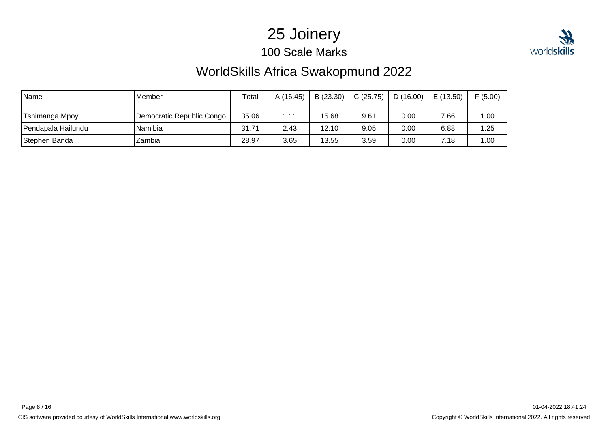# 25 Joinery

100 Scale Marks



## WorldSkills Africa Swakopmund 2022

| Name               | <b>IMember</b>            | Total | A (16.45) | B(23.30) | C(25.75) | D(16.00) | E(13.50) | F(5.00) |
|--------------------|---------------------------|-------|-----------|----------|----------|----------|----------|---------|
| Tshimanga Mpoy     | Democratic Republic Congo | 35.06 | 1.11      | 15.68    | 9.61     | 0.00     | 7.66     | 1.00    |
| Pendapala Hailundu | Namibia                   | 31.71 | 2.43      | 12.10    | 9.05     | 0.00     | 6.88     | 1.25    |
| Stephen Banda      | Zambia                    | 28.97 | 3.65      | 13.55    | 3.59     | 0.00     | 7.18     | 1.00    |

Page 8 / 16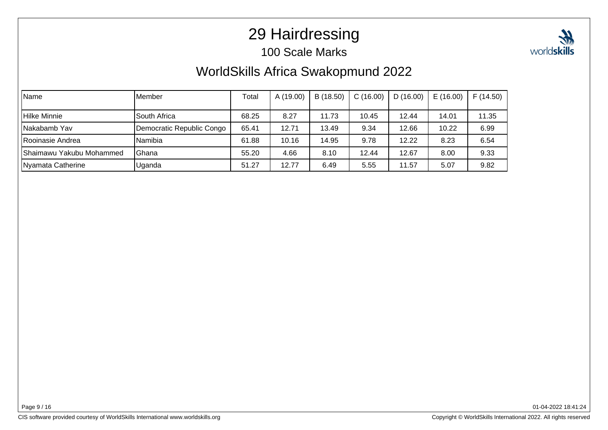## 29 Hairdressing

#### 100 Scale Marks



### WorldSkills Africa Swakopmund 2022

| Name                      | <b>I</b> Member           | Total | A (19.00) | B (18.50) | C(16.00) | D(16.00) | E(16.00) | F(14.50) |
|---------------------------|---------------------------|-------|-----------|-----------|----------|----------|----------|----------|
| Hilke Minnie              | South Africa              | 68.25 | 8.27      | 11.73     | 10.45    | 12.44    | 14.01    | 11.35    |
| INakabamb Yav             | Democratic Republic Congo | 65.41 | 12.71     | 13.49     | 9.34     | 12.66    | 10.22    | 6.99     |
| Rooinasie Andrea          | Namibia                   | 61.88 | 10.16     | 14.95     | 9.78     | 12.22    | 8.23     | 6.54     |
| IShaimawu Yakubu Mohammed | lGhana                    | 55.20 | 4.66      | 8.10      | 12.44    | 12.67    | 8.00     | 9.33     |
| Nyamata Catherine         | Uganda                    | 51.27 | 12.77     | 6.49      | 5.55     | 11.57    | 5.07     | 9.82     |

Page 9 / 16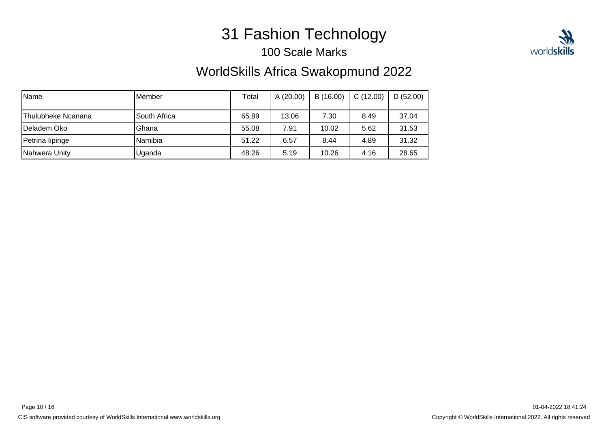# 31 Fashion Technology

100 Scale Marks

### WorldSkills Africa Swakopmund 2022

| <b>Name</b>        | lMember      | Total | A(20.00) | B(16.00) | C(12.00) | D(52.00) |
|--------------------|--------------|-------|----------|----------|----------|----------|
| Thulubheke Ncanana | South Africa | 65.89 | 13.06    | 7.30     | 8.49     | 37.04    |
| IDeladem Oko       | Ghana        | 55.08 | 7.91     | 10.02    | 5.62     | 31.53    |
| Petrina lipinge    | lNamibia     | 51.22 | 6.57     | 8.44     | 4.89     | 31.32    |
| Nahwera Unity      | Uganda       | 48.26 | 5.19     | 10.26    | 4.16     | 28.65    |

01-04-2022 18:41:24

worldskills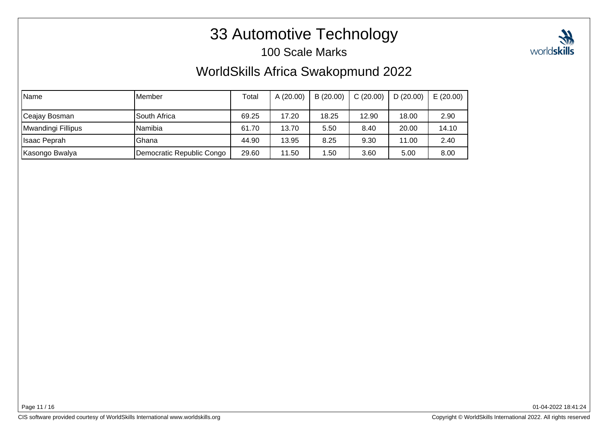# 33 Automotive Technology

#### 100 Scale Marks

### WorldSkills Africa Swakopmund 2022

| Name               | IMember                   | Total | A(20.00) | B(20.00) | C(20.00) | D(20.00) | E(20.00) |
|--------------------|---------------------------|-------|----------|----------|----------|----------|----------|
| Ceajay Bosman      | South Africa              | 69.25 | 17.20    | 18.25    | 12.90    | 18.00    | 2.90     |
| Mwandingi Fillipus | Namibia                   | 61.70 | 13.70    | 5.50     | 8.40     | 20.00    | 14.10    |
| Ilsaac Peprah      | <b>Ghana</b>              | 44.90 | 13.95    | 8.25     | 9.30     | 11.00    | 2.40     |
| Kasongo Bwalya     | Democratic Republic Congo | 29.60 | 11.50    | .50      | 3.60     | 5.00     | 8.00     |

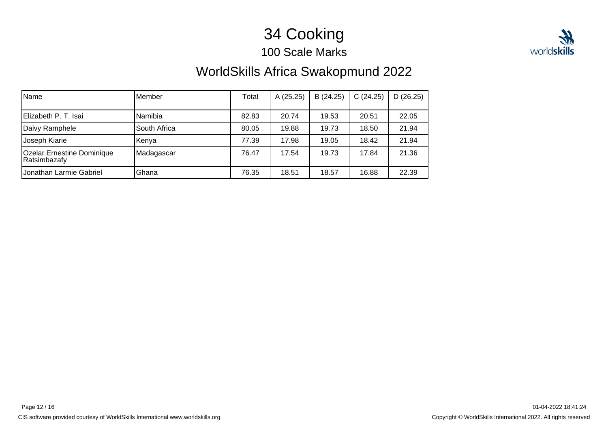# 34 Cooking

100 Scale Marks



## WorldSkills Africa Swakopmund 2022

| Name                                              | lMember      | Total | A (25.25) | B (24.25) | C(24.25) | D(26.25) |
|---------------------------------------------------|--------------|-------|-----------|-----------|----------|----------|
| Elizabeth P. T. Isai                              | Namibia      | 82.83 | 20.74     | 19.53     | 20.51    | 22.05    |
| Daivy Ramphele                                    | South Africa | 80.05 | 19.88     | 19.73     | 18.50    | 21.94    |
| Joseph Kiarie                                     | Kenya        | 77.39 | 17.98     | 19.05     | 18.42    | 21.94    |
| <b>Ozelar Ernestine Dominique</b><br>Ratsimbazafy | Madagascar   | 76.47 | 17.54     | 19.73     | 17.84    | 21.36    |
| Uonathan Larmie Gabriel                           | Ghana        | 76.35 | 18.51     | 18.57     | 16.88    | 22.39    |

Page 12 / 16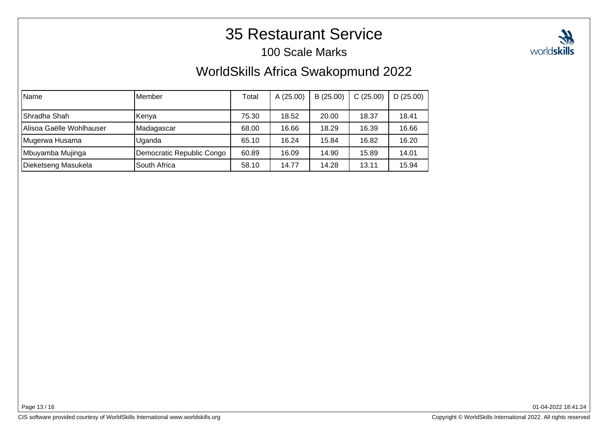## 35 Restaurant Service

#### 100 Scale Marks

### WorldSkills Africa Swakopmund 2022

| Name                     | lMember                   | Total | A(25.00) | B(25.00) | C(25.00) | D(25.00) |
|--------------------------|---------------------------|-------|----------|----------|----------|----------|
| Shradha Shah             | Kenya                     | 75.30 | 18.52    | 20.00    | 18.37    | 18.41    |
| Alisoa Gaëlle Wohlhauser | Madagascar                | 68.00 | 16.66    | 18.29    | 16.39    | 16.66    |
| Mugerwa Husama           | Uganda                    | 65.10 | 16.24    | 15.84    | 16.82    | 16.20    |
| Mbuyamba Mujinga         | Democratic Republic Congo | 60.89 | 16.09    | 14.90    | 15.89    | 14.01    |
| Dieketseng Masukela      | South Africa              | 58.10 | 14.77    | 14.28    | 13.11    | 15.94    |

Page 13 / 16

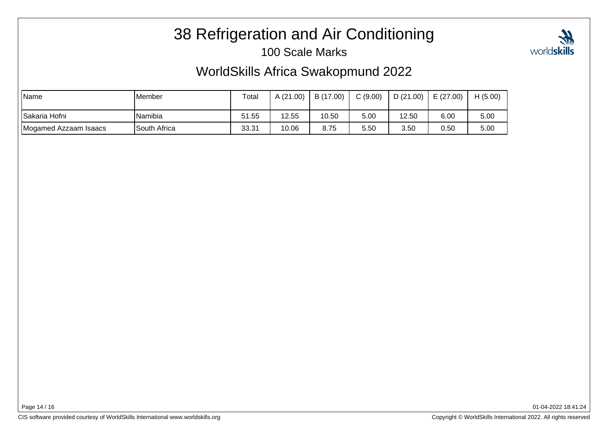# 38 Refrigeration and Air Conditioning

#### 100 Scale Marks



### WorldSkills Africa Swakopmund 2022

| <i>Name</i>           | <b>Member</b> | Total | A(21.00) | B (17.00) | C(9.00) | D(21.00) | E(27.00) | H(5.00) |
|-----------------------|---------------|-------|----------|-----------|---------|----------|----------|---------|
| ISakaria Hofni        | Namibia       | 51.55 | 12.55    | 10.50     | 5.00    | 12.50    | 6.00     | 5.00    |
| Mogamed Azzaam Isaacs | South Africa  | 33.31 | 10.06    | 8.75      | 5.50    | 3.50     | 0.50     | 5.00    |

Page 14 / 16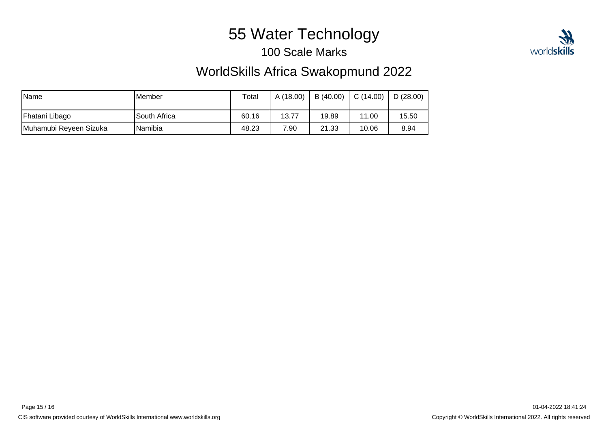# 55 Water Technology

100 Scale Marks

### WorldSkills Africa Swakopmund 2022

| <b>Name</b>            | IMember      | Total | A (18.00) | B (40.00) | C(14.00) | D(28.00) |
|------------------------|--------------|-------|-----------|-----------|----------|----------|
| Fhatani Libago         | South Africa | 60.16 | 13.77     | 19.89     | 11.00    | 15.50    |
| Muhamubi Reyeen Sizuka | INamibia     | 48.23 | 7.90      | 21.33     | 10.06    | 8.94     |

01-04-2022 18:41:24

worldskills